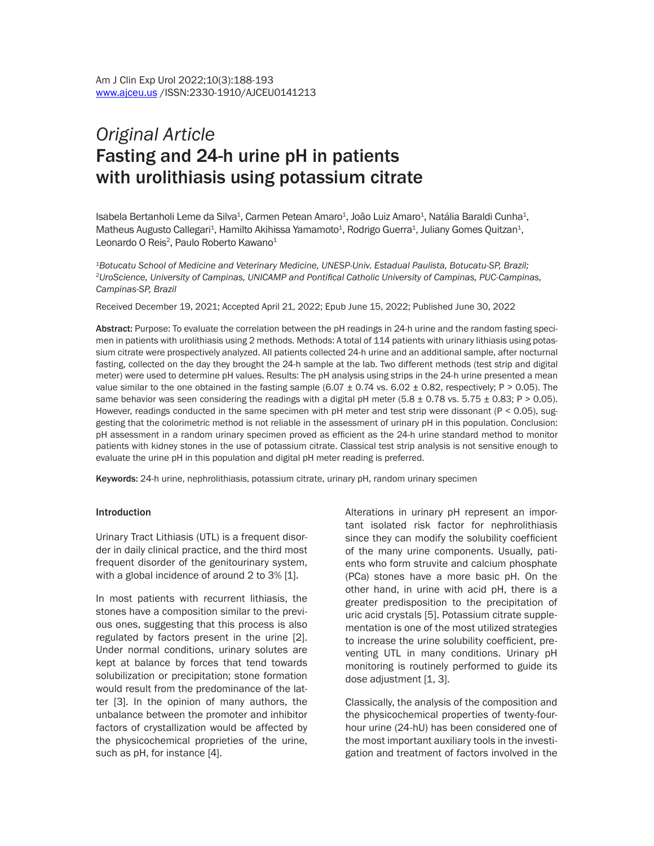# *Original Article* Fasting and 24-h urine pH in patients with urolithiasis using potassium citrate

Isabela Bertanholi Leme da Silva $^4$ , Carmen Petean Amaro $^4$ , João Luiz Amaro $^4$ , Natália Baraldi Cunha $^4$ , Matheus Augusto Callegari<sup>1</sup>, Hamilto Akihissa Yamamoto<sup>1</sup>, Rodrigo Guerra<sup>1</sup>, Juliany Gomes Quitzan<sup>1</sup>, Leonardo O Reis<sup>2</sup>, Paulo Roberto Kawano<sup>1</sup>

*1Botucatu School of Medicine and Veterinary Medicine, UNESP-Univ. Estadual Paulista, Botucatu-SP, Brazil; <sup>2</sup>UroScience, University of Campinas, UNICAMP and Pontifical Catholic University of Campinas, PUC-Campinas, Campinas-SP, Brazil*

Received December 19, 2021; Accepted April 21, 2022; Epub June 15, 2022; Published June 30, 2022

Abstract: Purpose: To evaluate the correlation between the pH readings in 24-h urine and the random fasting specimen in patients with urolithiasis using 2 methods. Methods: A total of 114 patients with urinary lithiasis using potassium citrate were prospectively analyzed. All patients collected 24-h urine and an additional sample, after nocturnal fasting, collected on the day they brought the 24-h sample at the lab. Two different methods (test strip and digital meter) were used to determine pH values. Results: The pH analysis using strips in the 24-h urine presented a mean value similar to the one obtained in the fasting sample  $(6.07 \pm 0.74$  vs.  $6.02 \pm 0.82$ , respectively; P > 0.05). The same behavior was seen considering the readings with a digital pH meter (5.8  $\pm$  0.78 vs. 5.75  $\pm$  0.83; P > 0.05). However, readings conducted in the same specimen with pH meter and test strip were dissonant (P < 0.05), suggesting that the colorimetric method is not reliable in the assessment of urinary pH in this population. Conclusion: pH assessment in a random urinary specimen proved as efficient as the 24-h urine standard method to monitor patients with kidney stones in the use of potassium citrate. Classical test strip analysis is not sensitive enough to evaluate the urine pH in this population and digital pH meter reading is preferred.

Keywords: 24-h urine, nephrolithiasis, potassium citrate, urinary pH, random urinary specimen

#### **Introduction**

Urinary Tract Lithiasis (UTL) is a frequent disorder in daily clinical practice, and the third most frequent disorder of the genitourinary system, with a global incidence of around 2 to 3% [1].

In most patients with recurrent lithiasis, the stones have a composition similar to the previous ones, suggesting that this process is also regulated by factors present in the urine [2]. Under normal conditions, urinary solutes are kept at balance by forces that tend towards solubilization or precipitation; stone formation would result from the predominance of the latter [3]. In the opinion of many authors, the unbalance between the promoter and inhibitor factors of crystallization would be affected by the physicochemical proprieties of the urine, such as pH, for instance [4].

Alterations in urinary pH represent an important isolated risk factor for nephrolithiasis since they can modify the solubility coefficient of the many urine components. Usually, patients who form struvite and calcium phosphate (PCa) stones have a more basic pH. On the other hand, in urine with acid pH, there is a greater predisposition to the precipitation of uric acid crystals [5]. Potassium citrate supplementation is one of the most utilized strategies to increase the urine solubility coefficient, preventing UTL in many conditions. Urinary pH monitoring is routinely performed to guide its dose adjustment [1, 3].

Classically, the analysis of the composition and the physicochemical properties of twenty-fourhour urine (24-hU) has been considered one of the most important auxiliary tools in the investigation and treatment of factors involved in the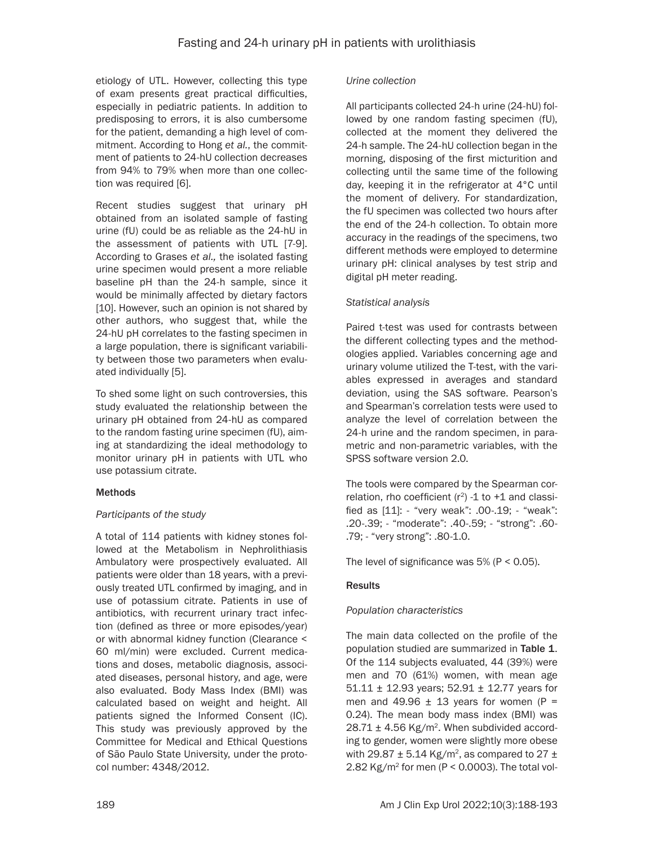etiology of UTL. However, collecting this type of exam presents great practical difficulties, especially in pediatric patients. In addition to predisposing to errors, it is also cumbersome for the patient, demanding a high level of commitment. According to Hong *et al.*, the commitment of patients to 24-hU collection decreases from 94% to 79% when more than one collection was required [6].

Recent studies suggest that urinary pH obtained from an isolated sample of fasting urine (fU) could be as reliable as the 24-hU in the assessment of patients with UTL [7-9]. According to Grases *et al.,* the isolated fasting urine specimen would present a more reliable baseline pH than the 24-h sample, since it would be minimally affected by dietary factors [10]. However, such an opinion is not shared by other authors, who suggest that, while the 24-hU pH correlates to the fasting specimen in a large population, there is significant variability between those two parameters when evaluated individually [5].

To shed some light on such controversies, this study evaluated the relationship between the urinary pH obtained from 24-hU as compared to the random fasting urine specimen (fU), aiming at standardizing the ideal methodology to monitor urinary pH in patients with UTL who use potassium citrate.

## **Methods**

## *Participants of the study*

A total of 114 patients with kidney stones followed at the Metabolism in Nephrolithiasis Ambulatory were prospectively evaluated. All patients were older than 18 years, with a previously treated UTL confirmed by imaging, and in use of potassium citrate. Patients in use of antibiotics, with recurrent urinary tract infection (defined as three or more episodes/year) or with abnormal kidney function (Clearance < 60 ml/min) were excluded. Current medications and doses, metabolic diagnosis, associated diseases, personal history, and age, were also evaluated. Body Mass Index (BMI) was calculated based on weight and height. All patients signed the Informed Consent (IC). This study was previously approved by the Committee for Medical and Ethical Questions of São Paulo State University, under the protocol number: 4348/2012.

#### *Urine collection*

All participants collected 24-h urine (24-hU) followed by one random fasting specimen (fU), collected at the moment they delivered the 24-h sample. The 24-hU collection began in the morning, disposing of the first micturition and collecting until the same time of the following day, keeping it in the refrigerator at 4°C until the moment of delivery. For standardization, the fU specimen was collected two hours after the end of the 24-h collection. To obtain more accuracy in the readings of the specimens, two different methods were employed to determine urinary pH: clinical analyses by test strip and digital pH meter reading.

#### *Statistical analysis*

Paired t-test was used for contrasts between the different collecting types and the methodologies applied. Variables concerning age and urinary volume utilized the T-test, with the variables expressed in averages and standard deviation, using the SAS software. Pearson's and Spearman's correlation tests were used to analyze the level of correlation between the 24-h urine and the random specimen, in parametric and non-parametric variables, with the SPSS software version 2.0.

The tools were compared by the Spearman correlation, rho coefficient  $(r^2)$  -1 to +1 and classified as [11]: - "very weak": .00-.19; - "weak": .20-.39; - "moderate": .40-.59; - "strong": .60- .79; - "very strong": .80-1.0.

The level of significance was  $5\%$  (P < 0.05).

## Results

## *Population characteristics*

The main data collected on the profile of the population studied are summarized in Table 1. Of the 114 subjects evaluated, 44 (39%) were men and 70 (61%) women, with mean age 51.11 ± 12.93 years; 52.91 ± 12.77 years for men and 49.96  $\pm$  13 years for women (P = 0.24). The mean body mass index (BMI) was  $28.71 \pm 4.56$  Kg/m<sup>2</sup>. When subdivided according to gender, women were slightly more obese with 29.87  $\pm$  5.14 Kg/m<sup>2</sup>, as compared to 27  $\pm$ 2.82 Kg/m<sup>2</sup> for men (P < 0.0003). The total vol-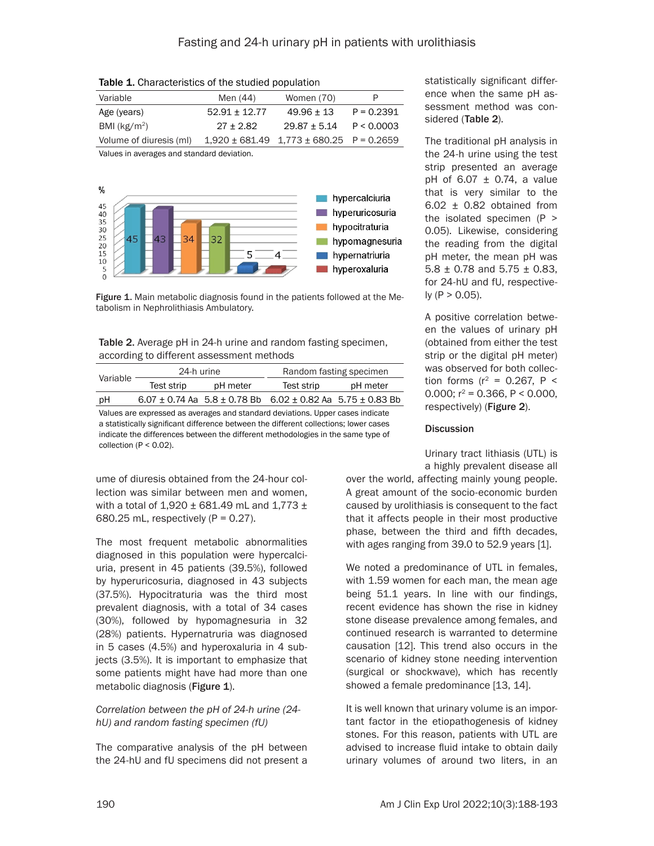| $\frac{1}{2}$ and $\frac{1}{2}$ and $\frac{1}{2}$ and $\frac{1}{2}$ and $\frac{1}{2}$ and $\frac{1}{2}$ and $\frac{1}{2}$ and $\frac{1}{2}$ and $\frac{1}{2}$ |                   |                                                  |              |  |  |
|---------------------------------------------------------------------------------------------------------------------------------------------------------------|-------------------|--------------------------------------------------|--------------|--|--|
| Variable                                                                                                                                                      | Men (44)          | Women (70)                                       | P            |  |  |
| Age (years)                                                                                                                                                   | $52.91 \pm 12.77$ | $49.96 + 13$                                     | $P = 0.2391$ |  |  |
| BMI $(kg/m2)$                                                                                                                                                 | $27 + 2.82$       | $29.87 + 5.14$                                   | P < 0.0003   |  |  |
| Volume of diuresis (ml)                                                                                                                                       |                   | $1,920 \pm 681.49$ $1,773 \pm 680.25$ P = 0.2659 |              |  |  |

Table 1. Characteristics of the studied population

Values in averages and standard deviation.



Figure 1. Main metabolic diagnosis found in the patients followed at the Metabolism in Nephrolithiasis Ambulatory.

Table 2. Average pH in 24-h urine and random fasting specimen, according to different assessment methods

| Variable | 24-h urine |          | Random fasting specimen                                                    |          |
|----------|------------|----------|----------------------------------------------------------------------------|----------|
|          | Test strip | pH meter | Test strip                                                                 | pH meter |
| рH       |            |          | $6.07 \pm 0.74$ Aa $5.8 \pm 0.78$ Bb $6.02 \pm 0.82$ Aa $5.75 \pm 0.83$ Bb |          |

Values are expressed as averages and standard deviations. Upper cases indicate a statistically significant difference between the different collections; lower cases indicate the differences between the different methodologies in the same type of collection ( $P < 0.02$ ).

ume of diuresis obtained from the 24-hour collection was similar between men and women, with a total of  $1,920 \pm 681.49$  mL and  $1,773 \pm 1$ 680.25 mL, respectively  $(P = 0.27)$ .

The most frequent metabolic abnormalities diagnosed in this population were hypercalciuria, present in 45 patients (39.5%), followed by hyperuricosuria, diagnosed in 43 subjects (37.5%). Hypocitraturia was the third most prevalent diagnosis, with a total of 34 cases (30%), followed by hypomagnesuria in 32 (28%) patients. Hypernatruria was diagnosed in 5 cases (4.5%) and hyperoxaluria in 4 subjects (3.5%). It is important to emphasize that some patients might have had more than one metabolic diagnosis (Figure 1).

## *Correlation between the pH of 24-h urine (24 hU) and random fasting specimen (fU)*

The comparative analysis of the pH between the 24-hU and fU specimens did not present a statistically significant difference when the same pH assessment method was considered (Table 2).

The traditional pH analysis in the 24-h urine using the test strip presented an average pH of  $6.07 \pm 0.74$ , a value that is very similar to the 6.02 ± 0.82 obtained from the isolated specimen (P > 0.05). Likewise, considering the reading from the digital pH meter, the mean pH was 5.8  $\pm$  0.78 and 5.75  $\pm$  0.83, for 24-hU and fU, respective $ly (P > 0.05)$ .

A positive correlation between the values of urinary pH (obtained from either the test strip or the digital pH meter) was observed for both collection forms ( $r^2$  = 0.267, P < 0.000;  $r^2$  = 0.366, P < 0.000, respectively) (Figure 2).

## **Discussion**

Urinary tract lithiasis (UTL) is a highly prevalent disease all

over the world, affecting mainly young people. A great amount of the socio-economic burden caused by urolithiasis is consequent to the fact that it affects people in their most productive phase, between the third and fifth decades, with ages ranging from 39.0 to 52.9 years [1].

We noted a predominance of UTL in females, with 1.59 women for each man, the mean age being 51.1 years. In line with our findings, recent evidence has shown the rise in kidney stone disease prevalence among females, and continued research is warranted to determine causation [12]. This trend also occurs in the scenario of kidney stone needing intervention (surgical or shockwave), which has recently showed a female predominance [13, 14].

It is well known that urinary volume is an important factor in the etiopathogenesis of kidney stones. For this reason, patients with UTL are advised to increase fluid intake to obtain daily urinary volumes of around two liters, in an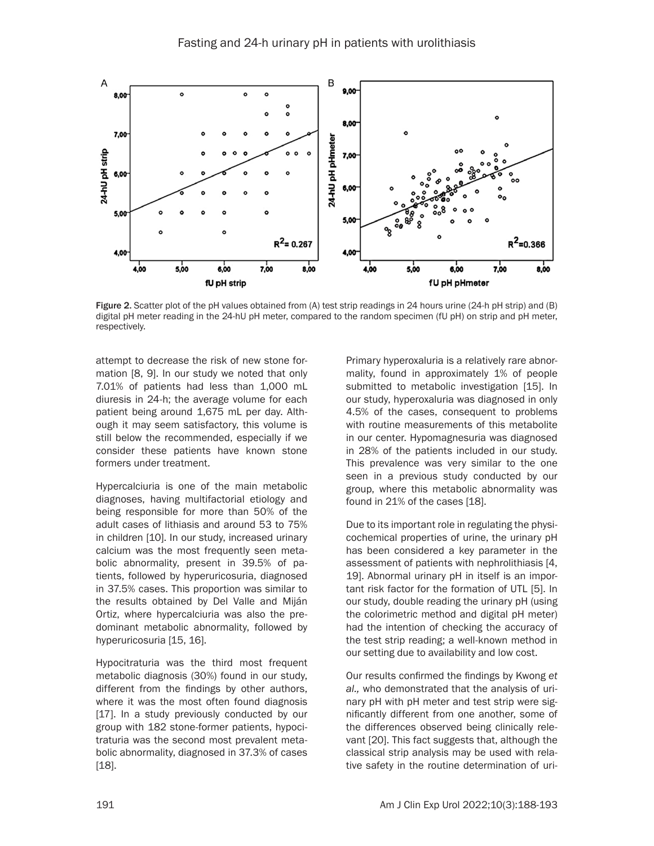

Figure 2. Scatter plot of the pH values obtained from (A) test strip readings in 24 hours urine (24-h pH strip) and (B) digital pH meter reading in the 24-hU pH meter, compared to the random specimen (fU pH) on strip and pH meter, respectively.

attempt to decrease the risk of new stone formation [8, 9]. In our study we noted that only 7.01% of patients had less than 1,000 mL diuresis in 24-h; the average volume for each patient being around 1,675 mL per day. Although it may seem satisfactory, this volume is still below the recommended, especially if we consider these patients have known stone formers under treatment.

Hypercalciuria is one of the main metabolic diagnoses, having multifactorial etiology and being responsible for more than 50% of the adult cases of lithiasis and around 53 to 75% in children [10]. In our study, increased urinary calcium was the most frequently seen metabolic abnormality, present in 39.5% of patients, followed by hyperuricosuria, diagnosed in 37.5% cases. This proportion was similar to the results obtained by Del Valle and Miján Ortiz, where hypercalciuria was also the predominant metabolic abnormality, followed by hyperuricosuria [15, 16].

Hypocitraturia was the third most frequent metabolic diagnosis (30%) found in our study, different from the findings by other authors, where it was the most often found diagnosis [17]. In a study previously conducted by our group with 182 stone-former patients, hypocitraturia was the second most prevalent metabolic abnormality, diagnosed in 37.3% of cases [18].

Primary hyperoxaluria is a relatively rare abnormality, found in approximately 1% of people submitted to metabolic investigation [15]. In our study, hyperoxaluria was diagnosed in only 4.5% of the cases, consequent to problems with routine measurements of this metabolite in our center. Hypomagnesuria was diagnosed in 28% of the patients included in our study. This prevalence was very similar to the one seen in a previous study conducted by our group, where this metabolic abnormality was found in 21% of the cases [18].

Due to its important role in regulating the physicochemical properties of urine, the urinary pH has been considered a key parameter in the assessment of patients with nephrolithiasis [4, 19]. Abnormal urinary pH in itself is an important risk factor for the formation of UTL [5]. In our study, double reading the urinary pH (using the colorimetric method and digital pH meter) had the intention of checking the accuracy of the test strip reading; a well-known method in our setting due to availability and low cost.

Our results confirmed the findings by Kwong *et al.,* who demonstrated that the analysis of urinary pH with pH meter and test strip were significantly different from one another, some of the differences observed being clinically relevant [20]. This fact suggests that, although the classical strip analysis may be used with relative safety in the routine determination of uri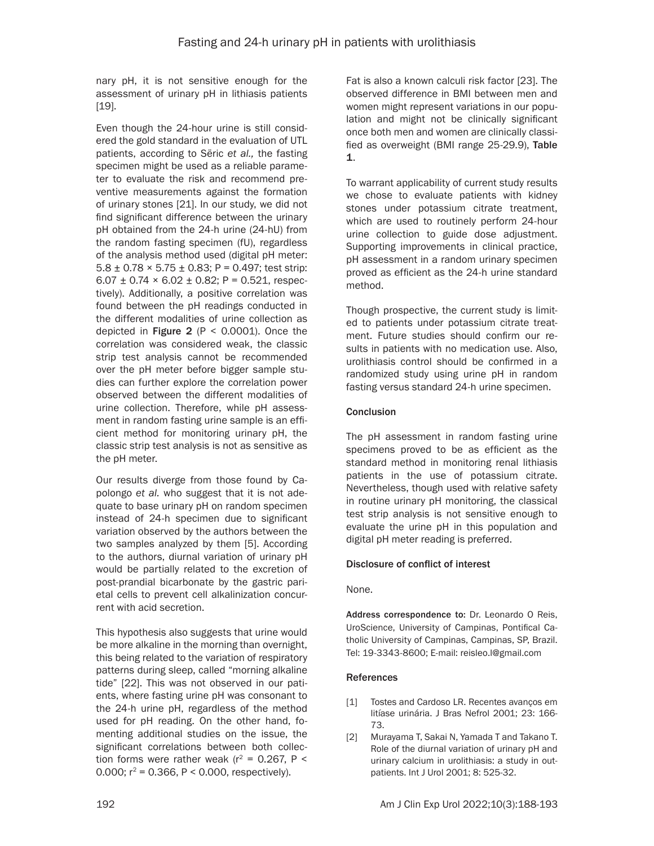nary pH, it is not sensitive enough for the assessment of urinary pH in lithiasis patients [19].

Even though the 24-hour urine is still considered the gold standard in the evaluation of UTL patients, according to Sëric *et al.,* the fasting specimen might be used as a reliable parameter to evaluate the risk and recommend preventive measurements against the formation of urinary stones [21]. In our study, we did not find significant difference between the urinary pH obtained from the 24-h urine (24-hU) from the random fasting specimen (fU), regardless of the analysis method used (digital pH meter:  $5.8 \pm 0.78 \times 5.75 \pm 0.83$ ; P = 0.497; test strip: 6.07  $\pm$  0.74  $\times$  6.02  $\pm$  0.82; P = 0.521, respectively). Additionally, a positive correlation was found between the pH readings conducted in the different modalities of urine collection as depicted in Figure 2 ( $P < 0.0001$ ). Once the correlation was considered weak, the classic strip test analysis cannot be recommended over the pH meter before bigger sample studies can further explore the correlation power observed between the different modalities of urine collection. Therefore, while pH assessment in random fasting urine sample is an efficient method for monitoring urinary pH, the classic strip test analysis is not as sensitive as the pH meter.

Our results diverge from those found by Capolongo *et al.* who suggest that it is not adequate to base urinary pH on random specimen instead of 24-h specimen due to significant variation observed by the authors between the two samples analyzed by them [5]. According to the authors, diurnal variation of urinary pH would be partially related to the excretion of post-prandial bicarbonate by the gastric parietal cells to prevent cell alkalinization concurrent with acid secretion.

This hypothesis also suggests that urine would be more alkaline in the morning than overnight, this being related to the variation of respiratory patterns during sleep, called "morning alkaline tide" [22]. This was not observed in our patients, where fasting urine pH was consonant to the 24-h urine pH, regardless of the method used for pH reading. On the other hand, fomenting additional studies on the issue, the significant correlations between both collection forms were rather weak ( $r^2$  = 0.267, P < 0.000;  $r^2$  = 0.366, P < 0.000, respectively).

Fat is also a known calculi risk factor [23]. The observed difference in BMI between men and women might represent variations in our population and might not be clinically significant once both men and women are clinically classified as overweight (BMI range 25-29.9), Table 1.

To warrant applicability of current study results we chose to evaluate patients with kidney stones under potassium citrate treatment, which are used to routinely perform 24-hour urine collection to guide dose adjustment. Supporting improvements in clinical practice, pH assessment in a random urinary specimen proved as efficient as the 24-h urine standard method.

Though prospective, the current study is limited to patients under potassium citrate treatment. Future studies should confirm our results in patients with no medication use. Also, urolithiasis control should be confirmed in a randomized study using urine pH in random fasting versus standard 24-h urine specimen.

## **Conclusion**

The pH assessment in random fasting urine specimens proved to be as efficient as the standard method in monitoring renal lithiasis patients in the use of potassium citrate. Nevertheless, though used with relative safety in routine urinary pH monitoring, the classical test strip analysis is not sensitive enough to evaluate the urine pH in this population and digital pH meter reading is preferred.

## Disclosure of conflict of interest

#### None.

Address correspondence to: Dr. Leonardo O Reis, UroScience, University of Campinas, Pontifical Catholic University of Campinas, Campinas, SP, Brazil. Tel: 19-3343-8600; E-mail: [reisleo.l@gmail.com](mailto:reisleo.l@gmail.com)

#### References

- [1] Tostes and Cardoso LR. Recentes avanços em litíase urinária. J Bras Nefrol 2001; 23: 166- 73.
- [2] Murayama T, Sakai N, Yamada T and Takano T. Role of the diurnal variation of urinary pH and urinary calcium in urolithiasis: a study in outpatients. Int J Urol 2001; 8: 525-32.